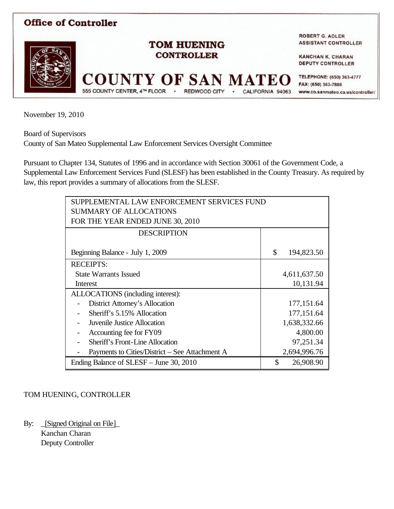

November 19, 2010

Board of Supervisors

County of San Mateo Supplemental Law Enforcement Services Oversight Committee

Pursuant to Chapter 134, Statutes of 1996 and in accordance with Section 30061 of the Government Code, a Supplemental Law Enforcement Services Fund (SLESF) has been established in the County Treasury. As required by law, this report provides a summary of allocations from the SLESF.

| SUPPLEMENTAL LAW ENFORCEMENT SERVICES FUND     |    |              |  |  |
|------------------------------------------------|----|--------------|--|--|
| <b>SUMMARY OF ALLOCATIONS</b>                  |    |              |  |  |
| FOR THE YEAR ENDED JUNE 30, 2010               |    |              |  |  |
| <b>DESCRIPTION</b>                             |    |              |  |  |
|                                                |    |              |  |  |
| Beginning Balance - July 1, 2009               | \$ | 194,823.50   |  |  |
| <b>RECEIPTS:</b>                               |    |              |  |  |
| <b>State Warrants Issued</b>                   |    | 4,611,637.50 |  |  |
| Interest                                       |    | 10,131.94    |  |  |
| ALLOCATIONS (including interest):              |    |              |  |  |
| District Attorney's Allocation                 |    | 177, 151.64  |  |  |
| Sheriff's 5.15% Allocation                     |    | 177, 151.64  |  |  |
| Juvenile Justice Allocation                    |    | 1,638,332.66 |  |  |
| Accounting fee for FY09                        |    | 4,800.00     |  |  |
| Sheriff's Front-Line Allocation                |    | 97,251.34    |  |  |
| Payments to Cities/District – See Attachment A |    | 2,694,996.76 |  |  |
| Ending Balance of SLESF – June 30, 2010        | \$ | 26,908.90    |  |  |

## TOM HUENING, CONTROLLER

By: \_[Signed Original on File]\_ Kanchan Charan Deputy Controller